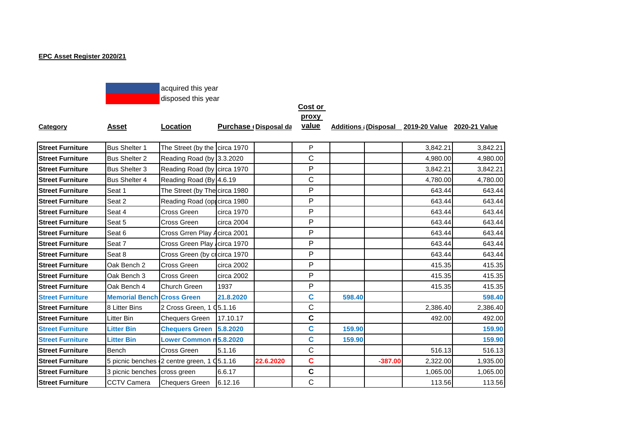## **EPC Asset Register 2020/21**



## **Cost or**

**proxy** 

| Category | Asset | Location | <b>Purchase (Disposal da</b> |
|----------|-------|----------|------------------------------|
|----------|-------|----------|------------------------------|

**<u>value</u> Additions** *(Disposal 2019-20 Value 2020-21 Value* 

| <b>Street Furniture</b> | <b>Bus Shelter 1</b>              | The Street (by the circa 1970                          |            |           | P            |        |           | 3,842.21 | 3,842.21 |
|-------------------------|-----------------------------------|--------------------------------------------------------|------------|-----------|--------------|--------|-----------|----------|----------|
| <b>Street Furniture</b> | <b>Bus Shelter 2</b>              | Reading Road (by 3.3.2020                              |            |           | $\mathsf{C}$ |        |           | 4,980.00 | 4,980.00 |
| <b>Street Furniture</b> | <b>Bus Shelter 3</b>              | Reading Road (by circa 1970                            |            |           | P            |        |           | 3,842.21 | 3,842.21 |
| <b>Street Furniture</b> | <b>Bus Shelter 4</b>              | Reading Road (By 4.6.19                                |            |           | $\mathsf{C}$ |        |           | 4,780.00 | 4,780.00 |
| <b>Street Furniture</b> | Seat 1                            | The Street (by The circa 1980                          |            |           | P            |        |           | 643.44   | 643.44   |
| <b>Street Furniture</b> | Seat 2                            | Reading Road (oppcirca 1980                            |            |           | P            |        |           | 643.44   | 643.44   |
| <b>Street Furniture</b> | Seat 4                            | Cross Green                                            | circa 1970 |           | P            |        |           | 643.44   | 643.44   |
| <b>Street Furniture</b> | Seat 5                            | Cross Green                                            | circa 2004 |           | P            |        |           | 643.44   | 643.44   |
| <b>Street Furniture</b> | Seat 6                            | Cross Grren Play Acirca 2001                           |            |           | P            |        |           | 643.44   | 643.44   |
| <b>Street Furniture</b> | Seat 7                            | Cross Green Play circa 1970                            |            |           | P            |        |           | 643.44   | 643.44   |
| <b>Street Furniture</b> | Seat 8                            | Cross Green (by crcirca 1970                           |            |           | P            |        |           | 643.44   | 643.44   |
| <b>Street Furniture</b> | Oak Bench 2                       | Cross Green                                            | circa 2002 |           | P            |        |           | 415.35   | 415.35   |
| <b>Street Furniture</b> | Oak Bench 3                       | Cross Green                                            | circa 2002 |           | P            |        |           | 415.35   | 415.35   |
| <b>Street Furniture</b> | Oak Bench 4                       | Church Green                                           | 1937       |           | P            |        |           | 415.35   | 415.35   |
| <b>Street Furniture</b> | <b>Memorial Bench Cross Green</b> |                                                        | 21.8.2020  |           | $\mathbf c$  | 598.40 |           |          | 598.40   |
| <b>Street Furniture</b> | 8 Litter Bins                     | 2 Cross Green, 1 05.1.16                               |            |           | C            |        |           | 2,386.40 | 2,386.40 |
| <b>Street Furniture</b> | Litter Bin                        | <b>Chequers Green</b>                                  | 17.10.17   |           | $\mathbf c$  |        |           | 492.00   | 492.00   |
| <b>Street Furniture</b> | <b>Litter Bin</b>                 | <b>Chequers Green</b>                                  | 5.8.2020   |           | C            | 159.90 |           |          | 159.90   |
| <b>Street Furniture</b> | <b>Litter Bin</b>                 | Lower Common n5.8.2020                                 |            |           | $\mathbf{C}$ | 159.90 |           |          | 159.90   |
| <b>Street Furniture</b> | <b>Bench</b>                      | Cross Green                                            | 5.1.16     |           | C            |        |           | 516.13   | 516.13   |
| <b>Street Furniture</b> |                                   | 5 picnic benches $2$ centre green, 1 $\sqrt{3}$ 5.1.16 |            | 22.6.2020 | $\mathbf c$  |        | $-387.00$ | 2,322.00 | 1,935.00 |
| <b>Street Furniture</b> | 3 picnic benches cross green      |                                                        | 6.6.17     |           | $\mathbf c$  |        |           | 1,065.00 | 1,065.00 |
| <b>Street Furniture</b> | <b>CCTV Camera</b>                | <b>Chequers Green</b>                                  | 6.12.16    |           | $\mathsf C$  |        |           | 113.56   | 113.56   |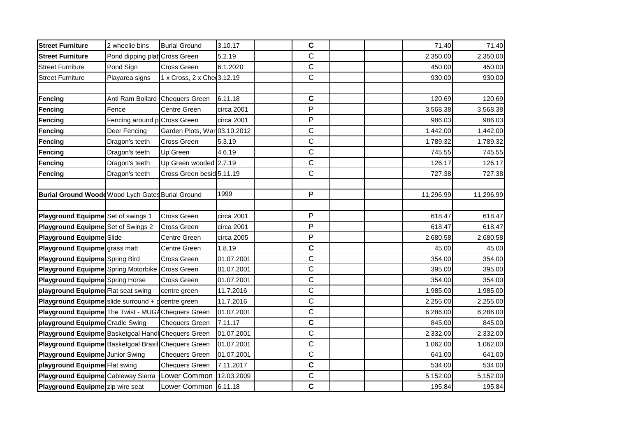| <b>Street Furniture</b>                                      | 2 wheelie bins                  | <b>Burial Ground</b>         | 3.10.17    | C           |  | 71.40     | 71.40     |
|--------------------------------------------------------------|---------------------------------|------------------------------|------------|-------------|--|-----------|-----------|
| <b>Street Furniture</b>                                      | Pond dipping plat Cross Green   |                              | 5.2.19     | $\mathbf C$ |  | 2,350.00  | 2,350.00  |
| <b>Street Furniture</b>                                      | Pond Sign                       | Cross Green                  | 6.1.2020   | C           |  | 450.00    | 450.00    |
| <b>Street Furniture</b>                                      | Playarea signs                  | 1 x Cross, 2 x Che 3.12.19   |            | $\mathsf C$ |  | 930.00    | 930.00    |
|                                                              |                                 |                              |            |             |  |           |           |
| <b>Fencing</b>                                               | Anti Ram Bollard Chequers Green |                              | 6.11.18    | $\mathbf C$ |  | 120.69    | 120.69    |
| Fencing                                                      | Fence                           | Centre Green                 | circa 2001 | P           |  | 3,568.38  | 3,568.38  |
| Fencing                                                      | Fencing around p Cross Green    |                              | circa 2001 | P           |  | 986.03    | 986.03    |
| Fencing                                                      | Deer Fencing                    | Garden Plots, War 03.10.2012 |            | $\mathsf C$ |  | 1,442.00  | 1,442.00  |
| <b>Fencing</b>                                               | Dragon's teeth                  | Cross Green                  | 5.3.19     | $\mathsf C$ |  | 1,789.32  | 1,789.32  |
| Fencing                                                      | Dragon's teeth                  | Up Green                     | 4.6.19     | C           |  | 745.55    | 745.55    |
| Fencing                                                      | Dragon's teeth                  | Up Green wooded 2.7.19       |            | $\mathsf C$ |  | 126.17    | 126.17    |
| Fencing                                                      | Dragon's teeth                  | Cross Green besid 5.11.19    |            | $\mathsf C$ |  | 727.38    | 727.38    |
|                                                              |                                 |                              |            |             |  |           |           |
| Burial Ground Woodd Wood Lych Gates Burial Ground            |                                 |                              | 1999       | P           |  | 11,296.99 | 11,296.99 |
|                                                              |                                 |                              |            |             |  |           |           |
| Playground Equipme Set of swings 1                           |                                 | <b>Cross Green</b>           | circa 2001 | P           |  | 618.47    | 618.47    |
| Playground Equipmer Set of Swings 2                          |                                 | Cross Green                  | circa 2001 | P           |  | 618.47    | 618.47    |
| Playground Equipmed Slide                                    |                                 | Centre Green                 | circa 2005 | P           |  | 2,680.58  | 2,680.58  |
| Playground Equipmengrass matt                                |                                 | Centre Green                 | 1.8.19     | C           |  | 45.00     | 45.00     |
| Playground Equipmed Spring Bird                              |                                 | Cross Green                  | 01.07.2001 | $\mathsf C$ |  | 354.00    | 354.00    |
| Playground Equipme Spring Motorbike                          |                                 | <b>Cross Green</b>           | 01.07.2001 | $\mathsf C$ |  | 395.00    | 395.00    |
| Playground Equipmed Spring Horse                             |                                 | Cross Green                  | 01.07.2001 | $\mathsf C$ |  | 354.00    | 354.00    |
| playground Equipmer Flat seat swing                          |                                 | centre green                 | 11.7.2016  | C           |  | 1,985.00  | 1,985.00  |
| <b>Playground Equipmen</b> slide surround $+$ p centre green |                                 |                              | 11.7.2016  | $\mathsf C$ |  | 2,255.00  | 2,255.00  |
| Playground Equipmed The Twist - MUGA Chequers Green          |                                 |                              | 01.07.2001 | C           |  | 6,286.00  | 6,286.00  |
| playground Equipmer Cradle Swing                             |                                 | <b>Chequers Green</b>        | 7.11.17    | $\mathbf c$ |  | 845.00    | 845.00    |
| Playground Equipme Basketgoal Hand Chequers Green            |                                 |                              | 01.07.2001 | $\mathsf C$ |  | 2,332.00  | 2,332.00  |
| Playground Equipme Basketgoal Brasil Chequers Green          |                                 |                              | 01.07.2001 | $\mathbf C$ |  | 1,062.00  | 1,062.00  |
| Playground Equipmed Junior Swing                             |                                 | <b>Chequers Green</b>        | 01.07.2001 | $\mathsf C$ |  | 641.00    | 641.00    |
| playground Equipmer Flat swing                               |                                 | <b>Chequers Green</b>        | 7.11.2017  | $\mathbf C$ |  | 534.00    | 534.00    |
| Playground Equipmed Cableway Sierra                          |                                 | Lower Common                 | 12.03.2009 | $\mathsf C$ |  | 5,152.00  | 5,152.00  |
| Playground Equipme zip wire seat                             |                                 | Lower Common                 | 6.11.18    | $\mathbf C$ |  | 195.84    | 195.84    |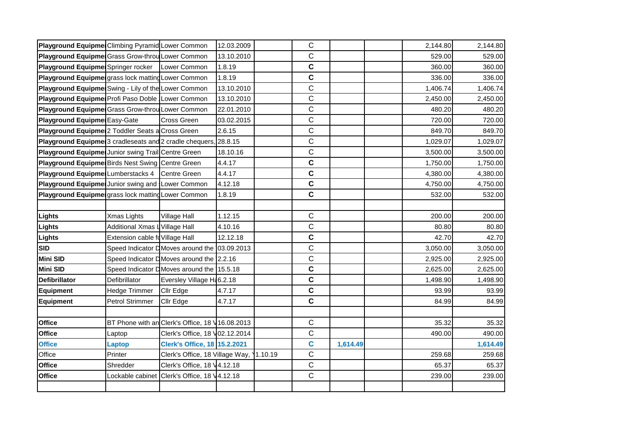| Playground Equipme Climbing Pyramid Lower Common        |                                 |                                                 | 12.03.2009 |         | $\mathsf C$ |          | 2,144.80 | 2,144.80 |
|---------------------------------------------------------|---------------------------------|-------------------------------------------------|------------|---------|-------------|----------|----------|----------|
| Playground Equipme Grass Grow-throu Lower Common        |                                 |                                                 | 13.10.2010 |         | C           |          | 529.00   | 529.00   |
| Playground Equipmer Springer rocker                     |                                 | Lower Common                                    | 1.8.19     |         | $\mathbf c$ |          | 360.00   | 360.00   |
| Playground Equipme grass lock matting Lower Common      |                                 |                                                 | 1.8.19     |         | C           |          | 336.00   | 336.00   |
| Playground Equipmer Swing - Lily of the Lower Common    |                                 |                                                 | 13.10.2010 |         | C           |          | 1,406.74 | 1,406.74 |
| Playground Equipme Profi Paso Doble Lower Common        |                                 |                                                 | 13.10.2010 |         | C           |          | 2,450.00 | 2,450.00 |
| Playground Equipme Grass Grow-throu Lower Common        |                                 |                                                 | 22.01.2010 |         | $\mathsf C$ |          | 480.20   | 480.20   |
| Playground Equipme Easy-Gate                            |                                 | <b>Cross Green</b>                              | 03.02.2015 |         | C           |          | 720.00   | 720.00   |
| Playground Equipmet 2 Toddler Seats a Cross Green       |                                 |                                                 | 2.6.15     |         | $\mathsf C$ |          | 849.70   | 849.70   |
| Playground Equipme 3 cradleseats and 2 cradle chequers, |                                 |                                                 | 28.8.15    |         | C           |          | 1,029.07 | 1,029.07 |
| Playground Equipme Junior swing Trail Centre Green      |                                 |                                                 | 18.10.16   |         | $\mathsf C$ |          | 3,500.00 | 3,500.00 |
| Playground Equipme Birds Nest Swing Centre Green        |                                 |                                                 | 4.4.17     |         | C           |          | 1,750.00 | 1,750.00 |
| Playground Equipme Lumberstacks 4                       |                                 | Centre Green                                    | 4.4.17     |         | C           |          | 4,380.00 | 4,380.00 |
| Playground Equipmer Junior swing and Lower Common       |                                 |                                                 | 4.12.18    |         | C           |          | 4,750.00 | 4,750.00 |
| Playground Equipme grass lock matting Lower Common      |                                 |                                                 | 1.8.19     |         | $\mathbf c$ |          | 532.00   | 532.00   |
|                                                         |                                 |                                                 |            |         |             |          |          |          |
| Lights                                                  | Xmas Lights                     | Village Hall                                    | 1.12.15    |         | C           |          | 200.00   | 200.00   |
| Lights                                                  | Additional Xmas L Village Hall  |                                                 | 4.10.16    |         | C           |          | 80.80    | 80.80    |
| Lights                                                  | Extension cable fo Village Hall |                                                 | 12.12.18   |         | C           |          | 42.70    | 42.70    |
| <b>SID</b>                                              |                                 | Speed Indicator D Moves around the              | 03.09.2013 |         | C           |          | 3,050.00 | 3,050.00 |
| <b>Mini SID</b>                                         |                                 | Speed Indicator D Moves around the              | 2.2.16     |         | C           |          | 2,925.00 | 2,925.00 |
| <b>Mini SID</b>                                         |                                 | Speed Indicator D Moves around the 15.5.18      |            |         | C           |          | 2,625.00 | 2,625.00 |
| <b>Defibrillator</b>                                    | Defibrillator                   | Eversley Village H 6.2.18                       |            |         | C           |          | 1,498.90 | 1,498.90 |
| <b>Equipment</b>                                        | Hedge Trimmer                   | Cllr Edge                                       | 4.7.17     |         | C           |          | 93.99    | 93.99    |
| Equipment                                               | Petrol Strimmer                 | Cllr Edge                                       | 4.7.17     |         | $\mathbf c$ |          | 84.99    | 84.99    |
|                                                         |                                 |                                                 |            |         |             |          |          |          |
| Office                                                  |                                 | BT Phone with an Clerk's Office, 18 V16.08.2013 |            |         | $\mathsf C$ |          | 35.32    | 35.32    |
| <b>Office</b>                                           | Laptop                          | Clerk's Office, 18 V02.12.2014                  |            |         | C           |          | 490.00   | 490.00   |
| <b>Office</b>                                           | <b>Laptop</b>                   | <b>Clerk's Office, 18 15.2.2021</b>             |            |         | C           | 1,614.49 |          | 1,614.49 |
| Office                                                  | Printer                         | Clerk's Office, 18 Village Way,                 |            | 1.10.19 | C           |          | 259.68   | 259.68   |
| <b>Office</b>                                           | Shredder                        | Clerk's Office, 18 V4.12.18                     |            |         | $\mathsf C$ |          | 65.37    | 65.37    |
| Office                                                  | Lockable cabinet                | Clerk's Office, 18 V4.12.18                     |            |         | $\mathsf C$ |          | 239.00   | 239.00   |
|                                                         |                                 |                                                 |            |         |             |          |          |          |